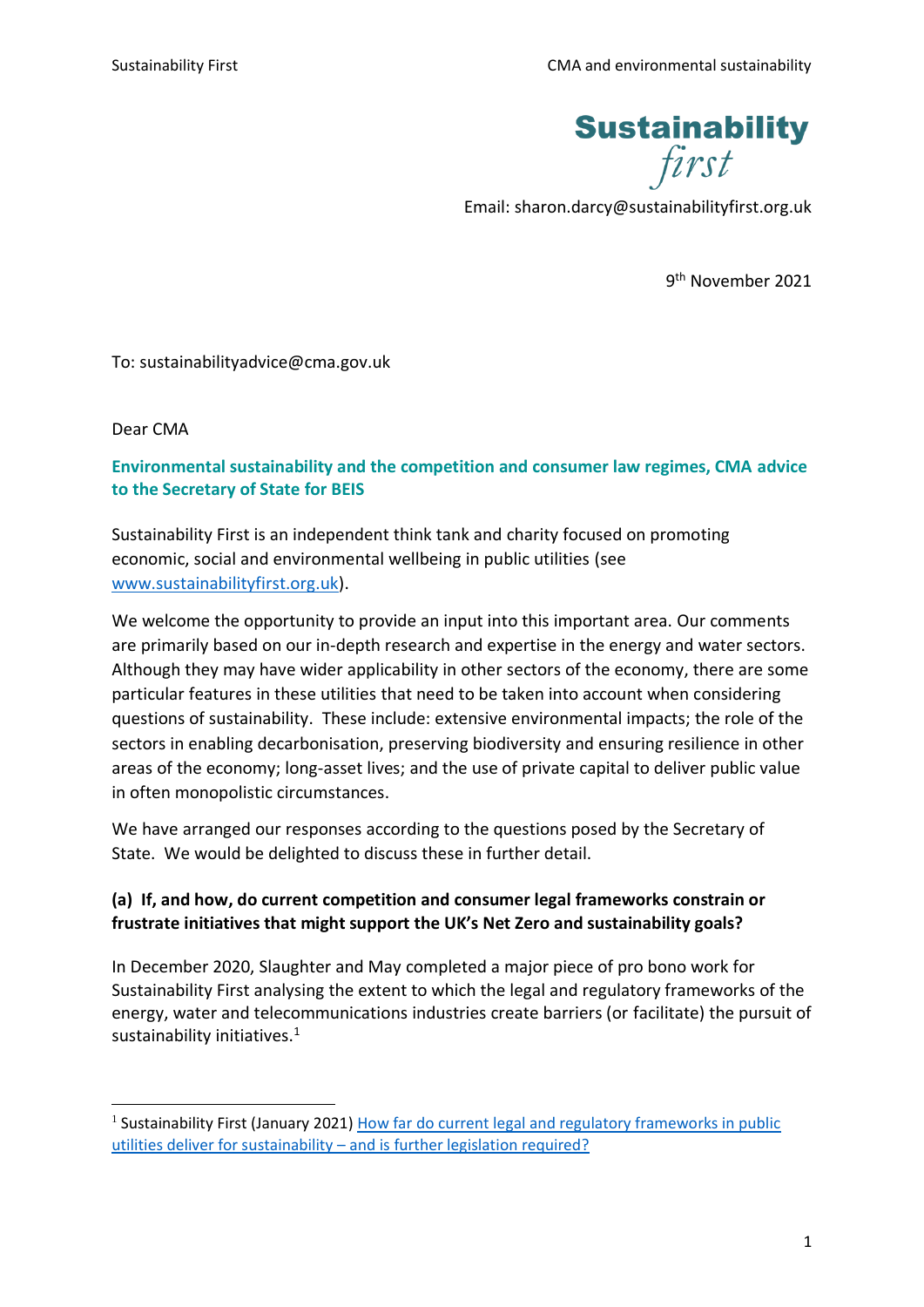

Email: sharon.darcy@sustainabilityfirst.org.uk

9<sup>th</sup> November 2021

To: sustainabilityadvice@cma.gov.uk

Dear CMA

## **Environmental sustainability and the competition and consumer law regimes, CMA advice to the Secretary of State for BEIS**

Sustainability First is an independent think tank and charity focused on promoting economic, social and environmental wellbeing in public utilities (see [www.sustainabilityfirst.org.uk\)](http://www.sustainabilityfirst.org.uk/).

We welcome the opportunity to provide an input into this important area. Our comments are primarily based on our in-depth research and expertise in the energy and water sectors. Although they may have wider applicability in other sectors of the economy, there are some particular features in these utilities that need to be taken into account when considering questions of sustainability. These include: extensive environmental impacts; the role of the sectors in enabling decarbonisation, preserving biodiversity and ensuring resilience in other areas of the economy; long-asset lives; and the use of private capital to deliver public value in often monopolistic circumstances.

We have arranged our responses according to the questions posed by the Secretary of State. We would be delighted to discuss these in further detail.

## **(a) If, and how, do current competition and consumer legal frameworks constrain or frustrate initiatives that might support the UK's Net Zero and sustainability goals?**

In December 2020, Slaughter and May completed a major piece of pro bono work for Sustainability First analysing the extent to which the legal and regulatory frameworks of the energy, water and telecommunications industries create barriers (or facilitate) the pursuit of sustainability initiatives.<sup>1</sup>

<sup>&</sup>lt;sup>1</sup> Sustainability First (January 2021) How far do current legal and regulatory frameworks in public utilities deliver for sustainability – [and is further legislation required?](https://www.sustainabilityfirst.org.uk/images/publications/fair_for_the_future/Briefing_paper_-_How_far_do_current_legal_and_regulatory_frameworks_in_public_utilities_deliver_for_sustainability__and_is_further_legislation_required.pdf)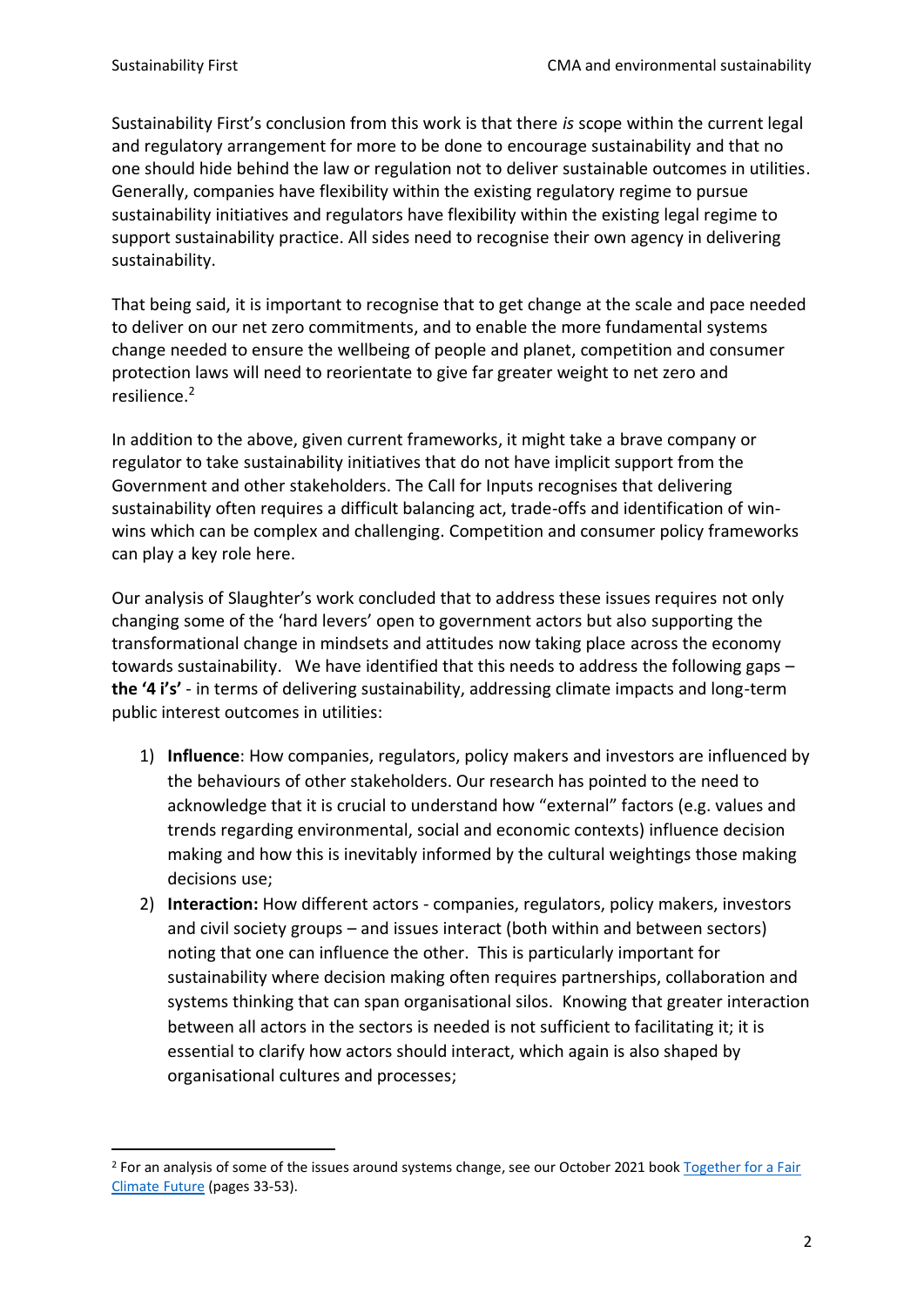Sustainability First's conclusion from this work is that there *is* scope within the current legal and regulatory arrangement for more to be done to encourage sustainability and that no one should hide behind the law or regulation not to deliver sustainable outcomes in utilities. Generally, companies have flexibility within the existing regulatory regime to pursue sustainability initiatives and regulators have flexibility within the existing legal regime to support sustainability practice. All sides need to recognise their own agency in delivering sustainability.

That being said, it is important to recognise that to get change at the scale and pace needed to deliver on our net zero commitments, and to enable the more fundamental systems change needed to ensure the wellbeing of people and planet, competition and consumer protection laws will need to reorientate to give far greater weight to net zero and resilience. 2

In addition to the above, given current frameworks, it might take a brave company or regulator to take sustainability initiatives that do not have implicit support from the Government and other stakeholders. The Call for Inputs recognises that delivering sustainability often requires a difficult balancing act, trade-offs and identification of winwins which can be complex and challenging. Competition and consumer policy frameworks can play a key role here.

Our analysis of Slaughter's work concluded that to address these issues requires not only changing some of the 'hard levers' open to government actors but also supporting the transformational change in mindsets and attitudes now taking place across the economy towards sustainability. We have identified that this needs to address the following gaps – **the '4 i's'** - in terms of delivering sustainability, addressing climate impacts and long-term public interest outcomes in utilities:

- 1) **Influence**: How companies, regulators, policy makers and investors are influenced by the behaviours of other stakeholders. Our research has pointed to the need to acknowledge that it is crucial to understand how "external" factors (e.g. values and trends regarding environmental, social and economic contexts) influence decision making and how this is inevitably informed by the cultural weightings those making decisions use;
- 2) **Interaction:** How different actors companies, regulators, policy makers, investors and civil society groups – and issues interact (both within and between sectors) noting that one can influence the other. This is particularly important for sustainability where decision making often requires partnerships, collaboration and systems thinking that can span organisational silos. Knowing that greater interaction between all actors in the sectors is needed is not sufficient to facilitating it; it is essential to clarify how actors should interact, which again is also shaped by organisational cultures and processes;

<sup>&</sup>lt;sup>2</sup> For an analysis of some of the issues around systems change, see our October 2021 book Together for a Fair [Climate Future](https://www.sustainabilityfirst.org.uk/2021-virtual-book) (pages 33-53).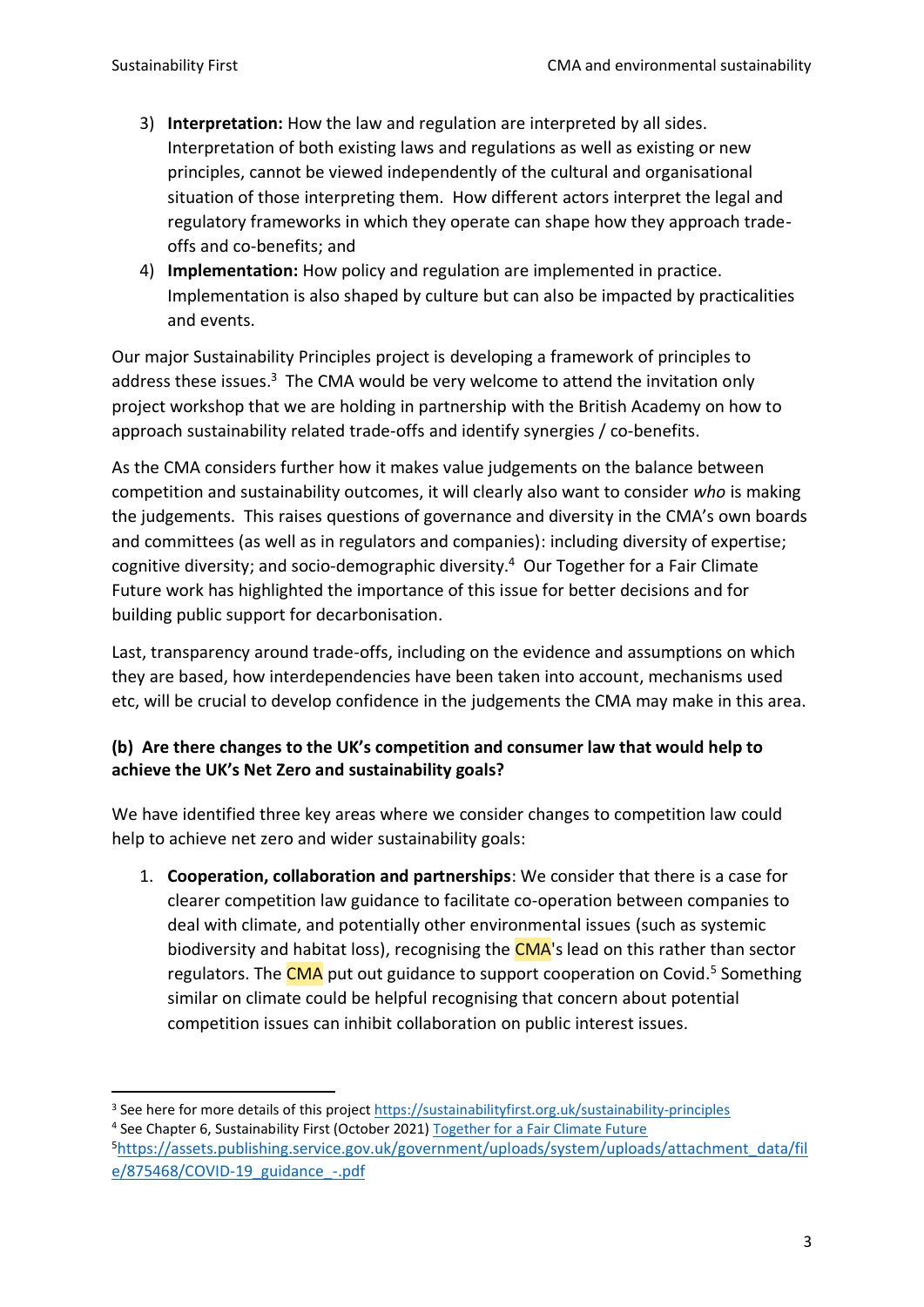- 3) **Interpretation:** How the law and regulation are interpreted by all sides. Interpretation of both existing laws and regulations as well as existing or new principles, cannot be viewed independently of the cultural and organisational situation of those interpreting them. How different actors interpret the legal and regulatory frameworks in which they operate can shape how they approach tradeoffs and co-benefits; and
- 4) **Implementation:** How policy and regulation are implemented in practice. Implementation is also shaped by culture but can also be impacted by practicalities and events.

Our major Sustainability Principles project is developing a framework of principles to address these issues.<sup>3</sup> The CMA would be very welcome to attend the invitation only project workshop that we are holding in partnership with the British Academy on how to approach sustainability related trade-offs and identify synergies / co-benefits.

As the CMA considers further how it makes value judgements on the balance between competition and sustainability outcomes, it will clearly also want to consider *who* is making the judgements. This raises questions of governance and diversity in the CMA's own boards and committees (as well as in regulators and companies): including diversity of expertise; cognitive diversity; and socio-demographic diversity.<sup>4</sup> Our Together for a Fair Climate Future work has highlighted the importance of this issue for better decisions and for building public support for decarbonisation.

Last, transparency around trade-offs, including on the evidence and assumptions on which they are based, how interdependencies have been taken into account, mechanisms used etc, will be crucial to develop confidence in the judgements the CMA may make in this area.

## **(b) Are there changes to the UK's competition and consumer law that would help to achieve the UK's Net Zero and sustainability goals?**

We have identified three key areas where we consider changes to competition law could help to achieve net zero and wider sustainability goals:

1. **Cooperation, collaboration and partnerships**: We consider that there is a case for clearer competition law guidance to facilitate co-operation between companies to deal with climate, and potentially other environmental issues (such as systemic biodiversity and habitat loss), recognising the **CMA**'s lead on this rather than sector regulators. The CMA put out guidance to support cooperation on Covid.<sup>5</sup> Something similar on climate could be helpful recognising that concern about potential competition issues can inhibit collaboration on public interest issues.

<sup>&</sup>lt;sup>3</sup> See here for more details of this projec[t https://sustainabilityfirst.org.uk/sustainability-principles](https://sustainabilityfirst.org.uk/sustainability-principles) 4 See Chapter 6, Sustainability First (October 2021) [Together for a Fair Climate Future](https://sustainabilityfirst.org.uk/images/publications/Sustainable_Futures/Virtual_Book_2021/Together_for_a_Fair_Climate_Future_Virtual_Book_2021.pdf)

<sup>5</sup>[https://assets.publishing.service.gov.uk/government/uploads/system/uploads/attachment\\_data/fil](https://assets.publishing.service.gov.uk/government/uploads/system/uploads/attachment_data/file/875468/COVID-19_guidance_-.pdf) [e/875468/COVID-19\\_guidance\\_-.pdf](https://assets.publishing.service.gov.uk/government/uploads/system/uploads/attachment_data/file/875468/COVID-19_guidance_-.pdf)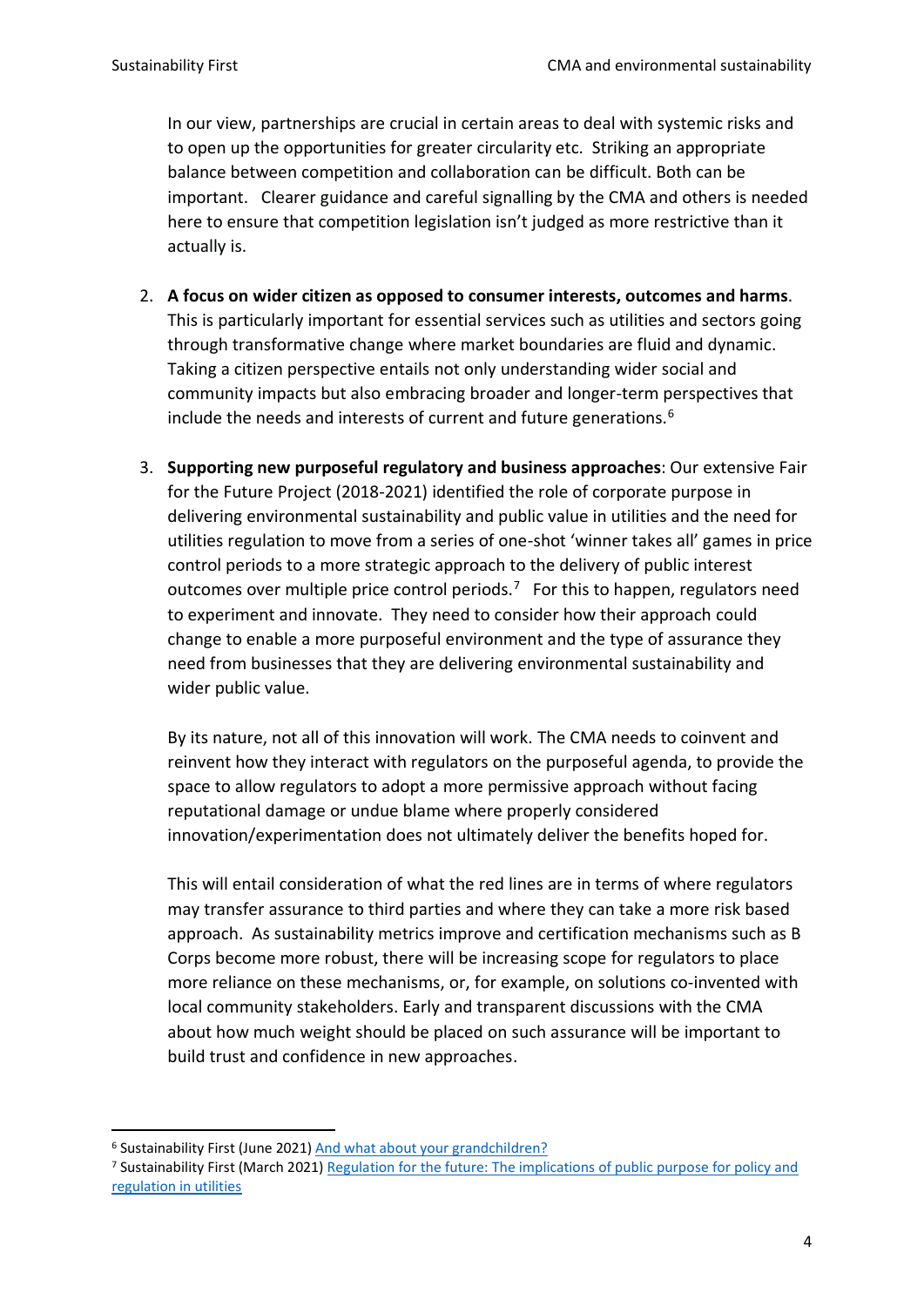In our view, partnerships are crucial in certain areas to deal with systemic risks and to open up the opportunities for greater circularity etc. Striking an appropriate balance between competition and collaboration can be difficult. Both can be important. Clearer guidance and careful signalling by the CMA and others is needed here to ensure that competition legislation isn't judged as more restrictive than it actually is.

- 2. **A focus on wider citizen as opposed to consumer interests, outcomes and harms**. This is particularly important for essential services such as utilities and sectors going through transformative change where market boundaries are fluid and dynamic. Taking a citizen perspective entails not only understanding wider social and community impacts but also embracing broader and longer-term perspectives that include the needs and interests of current and future generations.<sup>6</sup>
- 3. **Supporting new purposeful regulatory and business approaches**: Our extensive Fair for the Future Project (2018-2021) identified the role of corporate purpose in delivering environmental sustainability and public value in utilities and the need for utilities regulation to move from a series of one-shot 'winner takes all' games in price control periods to a more strategic approach to the delivery of public interest outcomes over multiple price control periods.<sup>7</sup> For this to happen, regulators need to experiment and innovate. They need to consider how their approach could change to enable a more purposeful environment and the type of assurance they need from businesses that they are delivering environmental sustainability and wider public value.

By its nature, not all of this innovation will work. The CMA needs to coinvent and reinvent how they interact with regulators on the purposeful agenda, to provide the space to allow regulators to adopt a more permissive approach without facing reputational damage or undue blame where properly considered innovation/experimentation does not ultimately deliver the benefits hoped for.

This will entail consideration of what the red lines are in terms of where regulators may transfer assurance to third parties and where they can take a more risk based approach. As sustainability metrics improve and certification mechanisms such as B Corps become more robust, there will be increasing scope for regulators to place more reliance on these mechanisms, or, for example, on solutions co-invented with local community stakeholders. Early and transparent discussions with the CMA about how much weight should be placed on such assurance will be important to build trust and confidence in new approaches.

<sup>6</sup> Sustainability First (June 2021[\) And what about your grandchildren?](https://www.sustainabilityfirst.org.uk/images/publications/expert_viewpoints/And_what_about_your_grandchildren.pdf)

<sup>7</sup> Sustainability First (March 2021) [Regulation for the future: The implications of public purpose for policy and](https://www.sustainabilityfirst.org.uk/images/publications/fair_for_the_future/Regulation_for_the_future_the_implications_of_public_purpose_for_policy_and_regulation_in_utilities.pdf)  [regulation in utilities](https://www.sustainabilityfirst.org.uk/images/publications/fair_for_the_future/Regulation_for_the_future_the_implications_of_public_purpose_for_policy_and_regulation_in_utilities.pdf)